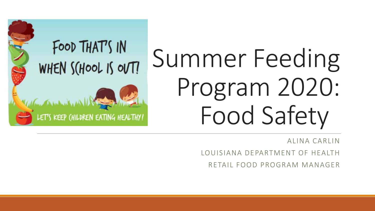# Summer Feeding Program 2020: Food Safety

FOOD THAT'S IN

WHEN SCHOOL IS OUT!

ET'S KEEP (HILDREN EATING HEALTHY!

ALINA CARLIN

LOUISIANA DEPARTMENT OF HEALTH

RETAIL FOOD PROGRAM MANAGER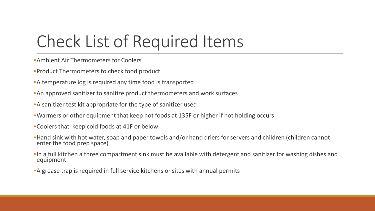## Check List of Required Items

- •Ambient Air Thermometers for Coolers
- •Product Thermometers to check food product
- •A temperature log is required any time food is transported
- •An approved sanitizer to sanitize product thermometers and work surfaces
- •A sanitizer test kit appropriate for the type of sanitizer used
- •Warmers or other equipment that keep hot foods at 135F or higher if hot holding occurs
- •Coolers that keep cold foods at 41F or below
- •Hand sink with hot water, soap and paper towels and/or hand driers for servers and children (children cannot enter the food prep space)
- •In a full kitchen a three compartment sink must be available with detergent and sanitizer for washing dishes and equipment
- •A grease trap is required in full service kitchens or sites with annual permits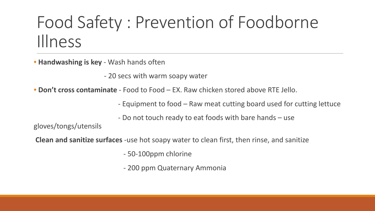## Food Safety : Prevention of Foodborne Illness

• **Handwashing is key** - Wash hands often

- 20 secs with warm soapy water

• **Don't cross contaminate** - Food to Food – EX. Raw chicken stored above RTE Jello.

- Equipment to food – Raw meat cutting board used for cutting lettuce

- Do not touch ready to eat foods with bare hands – use

gloves/tongs/utensils

**Clean and sanitize surfaces** -use hot soapy water to clean first, then rinse, and sanitize

- 50-100ppm chlorine

- 200 ppm Quaternary Ammonia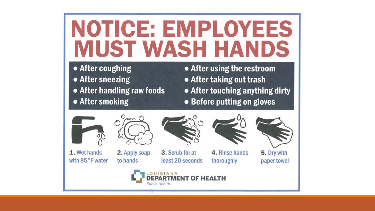# NOTICE: EMPLOYEES **MUST WASH HANDS**

- After coughing • After sneezing
- After handling raw foods
- After smoking
- After using the restroom
- After taking out trash
- After touching anything dirty
- Before putting on gloves



1. Wet hands with 85°F water



2. Apply soap to hands



3. Scrub for at least 20 seconds



4. Rinse hands thoroughly





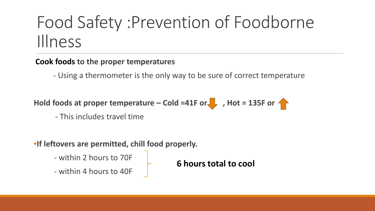## Food Safety :Prevention of Foodborne Illness

#### **Cook foods to the proper temperatures**

- Using a thermometer is the only way to be sure of correct temperature

Hold foods at proper temperature – Cold =41F or , Hot = 135F or

- This includes travel time

#### •**If leftovers are permitted, chill food properly.**

- within 2 hours to 70F

- within 4 hours to 40F

**6 hours total to cool**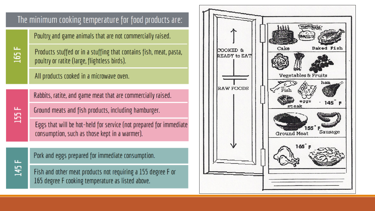#### The minimum cooking temperature for food products are:

Poultry and game animals that are not commercially raised.

ய 追

ய

155

ш.

541

Products stuffed or in a stuffing that contains fish, meat, pasta, poultry or ratite (large, flightless birds).

All products cooked in a microwave oven.

Rabbits, ratite, and game meat that are commercially raised.

Ground meats and fish products, including hamburger.

Eggs that will be hot-held for service (not prepared for immediate consumption, such as those kept in a warmer).

Pork and eggs prepared for immediate consumption.

Fish and other meat products not requiring a 155 degree F or 165 degree F cooking temperature as listed above.

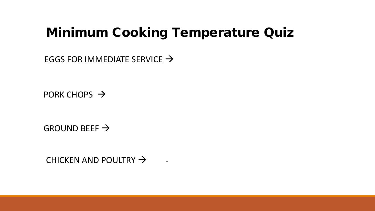#### Minimum Cooking Temperature Quiz

EGGS FOR IMMEDIATE SERVICE  $\rightarrow$ 

PORK CHOPS  $\rightarrow$ 

GROUND BEEF  $\rightarrow$ 

CHICKEN AND POULTRY  $\rightarrow$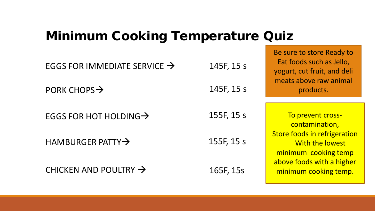#### Minimum Cooking Temperature Quiz

| EGGS FOR IMMEDIATE SERVICE $\rightarrow$ | 145F, 15 s | Eat foods such as Jello,<br>yogurt, cut fruit, and deli                 |
|------------------------------------------|------------|-------------------------------------------------------------------------|
| PORK CHOPS $\rightarrow$                 | 145F, 15 s | meats above raw animal<br>products.                                     |
| EGGS FOR HOT HOLDING $\rightarrow$       | 155F, 15 s | To prevent cross-<br>contamination,                                     |
| HAMBURGER PATTY $\rightarrow$            | 155F, 15 s | Store foods in refrigeration<br>With the lowest<br>minimum cooking temp |
| CHICKEN AND POULTRY $\rightarrow$        | 165F, 15s  | above foods with a higher<br>minimum cooking temp.                      |

Be sure to store Ready to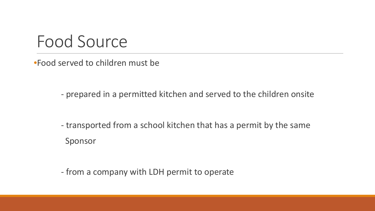#### Food Source

•Food served to children must be

- prepared in a permitted kitchen and served to the children onsite

- transported from a school kitchen that has a permit by the same Sponsor

- from a company with LDH permit to operate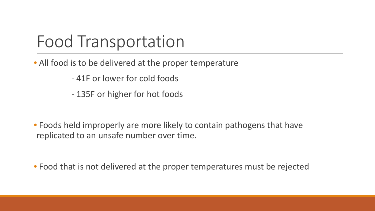#### Food Transportation

- All food is to be delivered at the proper temperature
	- 41F or lower for cold foods
	- 135F or higher for hot foods
- Foods held improperly are more likely to contain pathogens that have replicated to an unsafe number over time.

• Food that is not delivered at the proper temperatures must be rejected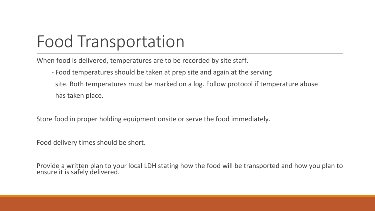# Food Transportation

When food is delivered, temperatures are to be recorded by site staff.

- Food temperatures should be taken at prep site and again at the serving site. Both temperatures must be marked on a log. Follow protocol if temperature abuse has taken place.

Store food in proper holding equipment onsite or serve the food immediately.

Food delivery times should be short.

Provide a written plan to your local LDH stating how the food will be transported and how you plan to ensure it is safely delivered.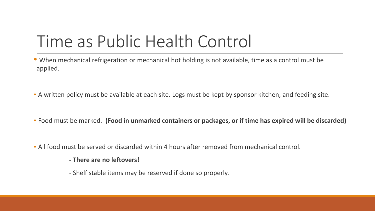### Time as Public Health Control

• When mechanical refrigeration or mechanical hot holding is not available, time as a control must be applied.

• A written policy must be available at each site. Logs must be kept by sponsor kitchen, and feeding site.

• Food must be marked. **(Food in unmarked containers or packages, or if time has expired will be discarded)**

• All food must be served or discarded within 4 hours after removed from mechanical control.

#### **- There are no leftovers!**

- Shelf stable items may be reserved if done so properly.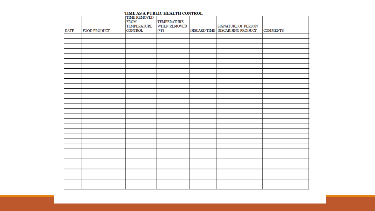|             |                     | <b>TIME REMOVED</b><br><b>FROM</b><br><b>TEMPERATURE</b> | <b>TEMPERATURE</b><br><b>WHEN REMOVED</b> | SIGNATURE OF PERSON             |                 |
|-------------|---------------------|----------------------------------------------------------|-------------------------------------------|---------------------------------|-----------------|
| <b>DATE</b> | <b>FOOD PRODUCT</b> | <b>CONTROL</b>                                           | (°F)                                      | DISCARD TIME DISCARDING PRODUCT | <b>COMMENTS</b> |
|             |                     |                                                          |                                           |                                 |                 |
|             |                     |                                                          |                                           |                                 |                 |
|             |                     |                                                          |                                           |                                 |                 |
|             |                     |                                                          |                                           |                                 |                 |
|             |                     |                                                          |                                           |                                 |                 |
|             |                     |                                                          |                                           |                                 |                 |
|             |                     |                                                          |                                           |                                 |                 |
|             |                     |                                                          |                                           |                                 |                 |
|             |                     |                                                          |                                           |                                 |                 |
|             |                     |                                                          |                                           |                                 |                 |
|             |                     |                                                          |                                           |                                 |                 |
|             |                     |                                                          |                                           |                                 |                 |
|             |                     |                                                          |                                           |                                 |                 |
|             |                     |                                                          |                                           |                                 |                 |
|             |                     |                                                          |                                           |                                 |                 |
|             |                     |                                                          |                                           |                                 |                 |
|             |                     |                                                          |                                           |                                 |                 |
|             |                     |                                                          |                                           |                                 |                 |
|             |                     |                                                          |                                           |                                 |                 |
|             |                     |                                                          |                                           |                                 |                 |
|             |                     |                                                          |                                           |                                 |                 |
|             |                     |                                                          |                                           |                                 |                 |
|             |                     |                                                          |                                           |                                 |                 |
|             |                     |                                                          |                                           |                                 |                 |
|             |                     |                                                          |                                           |                                 |                 |
|             |                     |                                                          |                                           |                                 |                 |
|             |                     |                                                          |                                           |                                 |                 |
|             |                     |                                                          |                                           |                                 |                 |
|             |                     |                                                          |                                           |                                 |                 |
|             |                     |                                                          |                                           |                                 |                 |

#### TIME AS A PUBLIC HEALTH CONTROL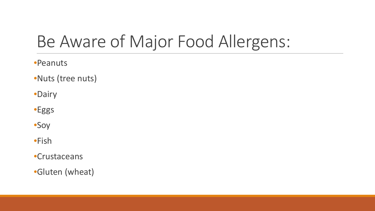# Be Aware of Major Food Allergens:

•Peanuts

•Nuts (tree nuts)

•Dairy

•Eggs

•Soy

•Fish

•Crustaceans

•Gluten (wheat)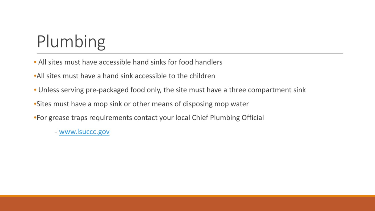# Plumbing

- All sites must have accessible hand sinks for food handlers
- •All sites must have a hand sink accessible to the children
- Unless serving pre-packaged food only, the site must have a three compartment sink
- •Sites must have a mop sink or other means of disposing mop water
- •For grease traps requirements contact your local Chief Plumbing Official
	- [www.lsuccc.gov](http://www.lsuccc.gov/)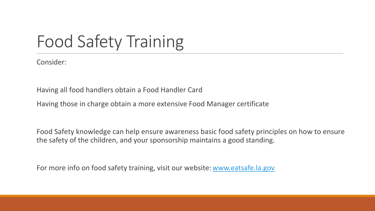# Food Safety Training

Consider:

Having all food handlers obtain a Food Handler Card

Having those in charge obtain a more extensive Food Manager certificate

Food Safety knowledge can help ensure awareness basic food safety principles on how to ensure the safety of the children, and your sponsorship maintains a good standing.

For more info on food safety training, visit our website: [www.eatsafe.la.gov](http://www.eatsafe.la.gov/)